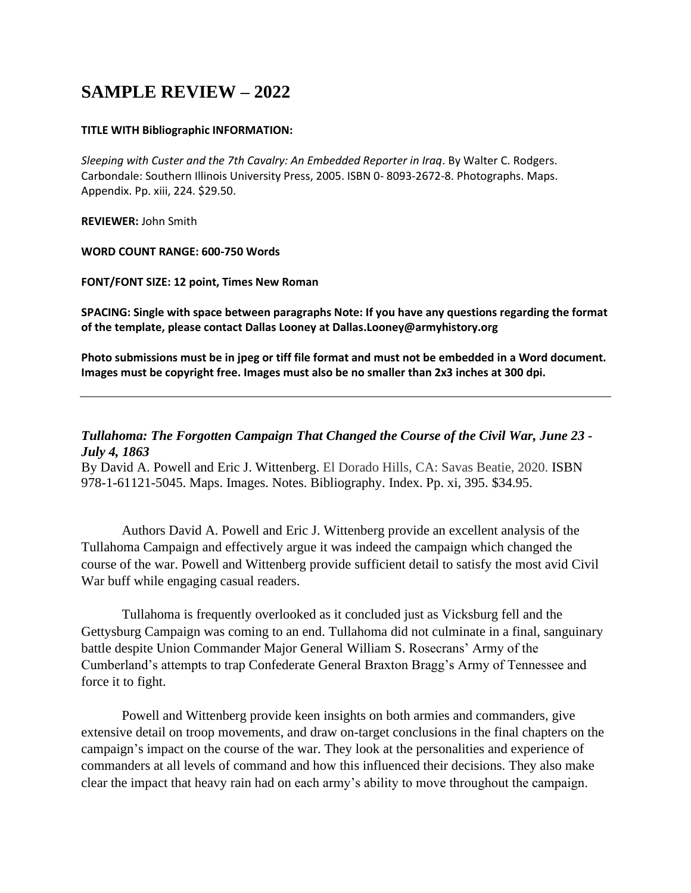## **SAMPLE REVIEW – 2022**

## **TITLE WITH Bibliographic INFORMATION:**

*Sleeping with Custer and the 7th Cavalry: An Embedded Reporter in Iraq*. By Walter C. Rodgers. Carbondale: Southern Illinois University Press, 2005. ISBN 0- 8093-2672-8. Photographs. Maps. Appendix. Pp. xiii, 224. \$29.50.

**REVIEWER:** John Smith

## **WORD COUNT RANGE: 600-750 Words**

**FONT/FONT SIZE: 12 point, Times New Roman** 

**SPACING: Single with space between paragraphs Note: If you have any questions regarding the format of the template, please contact Dallas Looney at Dallas.Looney@armyhistory.org** 

**Photo submissions must be in jpeg or tiff file format and must not be embedded in a Word document. Images must be copyright free. Images must also be no smaller than 2x3 inches at 300 dpi.**

## *Tullahoma: The Forgotten Campaign That Changed the Course of the Civil War, June 23 - July 4, 1863*

By David A. Powell and Eric J. Wittenberg. El Dorado Hills, CA: Savas Beatie, 2020. ISBN 978-1-61121-5045. Maps. Images. Notes. Bibliography. Index. Pp. xi, 395. \$34.95.

Authors David A. Powell and Eric J. Wittenberg provide an excellent analysis of the Tullahoma Campaign and effectively argue it was indeed the campaign which changed the course of the war. Powell and Wittenberg provide sufficient detail to satisfy the most avid Civil War buff while engaging casual readers.

Tullahoma is frequently overlooked as it concluded just as Vicksburg fell and the Gettysburg Campaign was coming to an end. Tullahoma did not culminate in a final, sanguinary battle despite Union Commander Major General William S. Rosecrans' Army of the Cumberland's attempts to trap Confederate General Braxton Bragg's Army of Tennessee and force it to fight.

Powell and Wittenberg provide keen insights on both armies and commanders, give extensive detail on troop movements, and draw on-target conclusions in the final chapters on the campaign's impact on the course of the war. They look at the personalities and experience of commanders at all levels of command and how this influenced their decisions. They also make clear the impact that heavy rain had on each army's ability to move throughout the campaign.